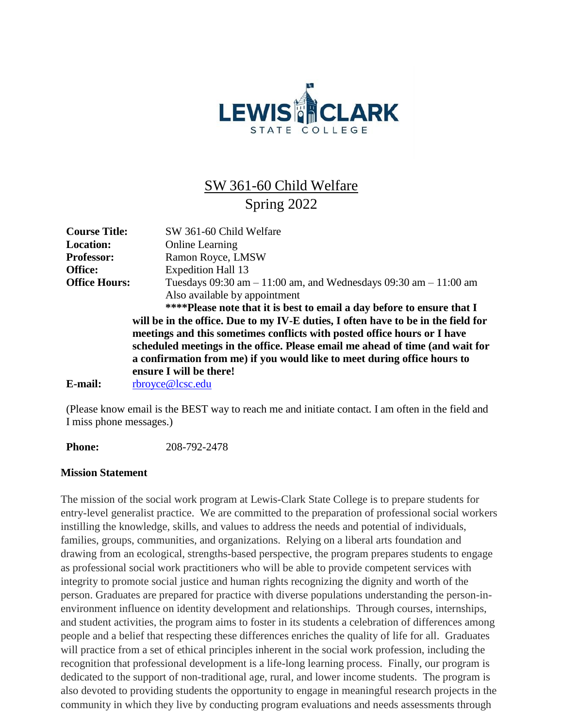

# SW 361-60 Child Welfare Spring 2022

| <b>Course Title:</b> | SW 361-60 Child Welfare                                                                                                                                   |
|----------------------|-----------------------------------------------------------------------------------------------------------------------------------------------------------|
| <b>Location:</b>     | <b>Online Learning</b>                                                                                                                                    |
| <b>Professor:</b>    | Ramon Royce, LMSW                                                                                                                                         |
| Office:              | <b>Expedition Hall 13</b>                                                                                                                                 |
| <b>Office Hours:</b> | Tuesdays 09:30 am $-11:00$ am, and Wednesdays 09:30 am $-11:00$ am                                                                                        |
|                      | Also available by appointment                                                                                                                             |
|                      | ****Please note that it is best to email a day before to ensure that I                                                                                    |
|                      | will be in the office. Due to my IV-E duties, I often have to be in the field for                                                                         |
|                      | meetings and this sometimes conflicts with posted office hours or I have                                                                                  |
|                      | scheduled meetings in the office. Please email me ahead of time (and wait for<br>a confirmation from me) if you would like to meet during office hours to |
|                      | ensure I will be there!                                                                                                                                   |
| E-mail:              | rbroyce@lcsc.edu                                                                                                                                          |

(Please know email is the BEST way to reach me and initiate contact. I am often in the field and I miss phone messages.)

**Phone:** 208-792-2478

#### **Mission Statement**

The mission of the social work program at Lewis-Clark State College is to prepare students for entry-level generalist practice. We are committed to the preparation of professional social workers instilling the knowledge, skills, and values to address the needs and potential of individuals, families, groups, communities, and organizations. Relying on a liberal arts foundation and drawing from an ecological, strengths-based perspective, the program prepares students to engage as professional social work practitioners who will be able to provide competent services with integrity to promote social justice and human rights recognizing the dignity and worth of the person. Graduates are prepared for practice with diverse populations understanding the person-inenvironment influence on identity development and relationships. Through courses, internships, and student activities, the program aims to foster in its students a celebration of differences among people and a belief that respecting these differences enriches the quality of life for all. Graduates will practice from a set of ethical principles inherent in the social work profession, including the recognition that professional development is a life-long learning process. Finally, our program is dedicated to the support of non-traditional age, rural, and lower income students. The program is also devoted to providing students the opportunity to engage in meaningful research projects in the community in which they live by conducting program evaluations and needs assessments through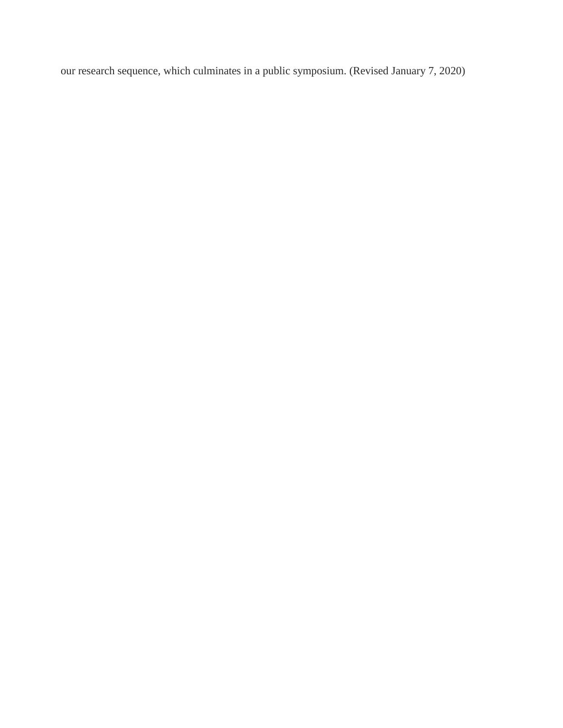our research sequence, which culminates in a public symposium. (Revised January 7, 2020)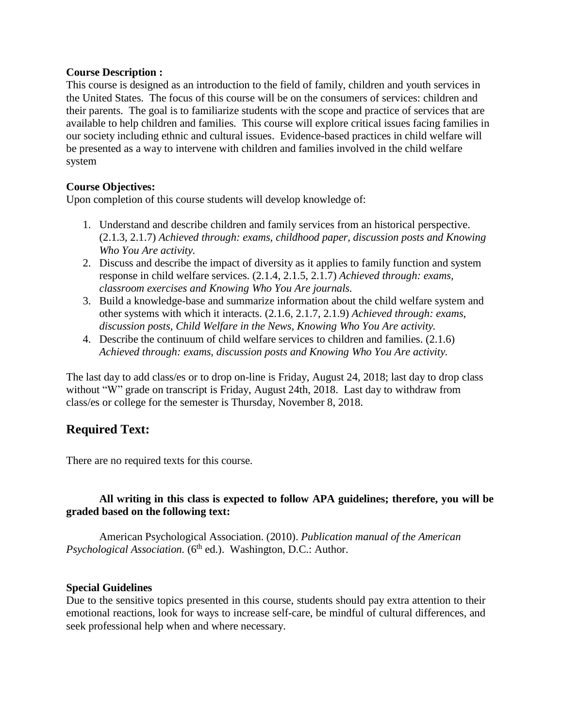#### **Course Description :**

This course is designed as an introduction to the field of family, children and youth services in the United States. The focus of this course will be on the consumers of services: children and their parents. The goal is to familiarize students with the scope and practice of services that are available to help children and families. This course will explore critical issues facing families in our society including ethnic and cultural issues. Evidence-based practices in child welfare will be presented as a way to intervene with children and families involved in the child welfare system

## **Course Objectives:**

Upon completion of this course students will develop knowledge of:

- 1. Understand and describe children and family services from an historical perspective. (2.1.3, 2.1.7) *Achieved through: exams, childhood paper, discussion posts and Knowing Who You Are activity.*
- 2. Discuss and describe the impact of diversity as it applies to family function and system response in child welfare services. (2.1.4, 2.1.5, 2.1.7) *Achieved through: exams, classroom exercises and Knowing Who You Are journals.*
- 3. Build a knowledge-base and summarize information about the child welfare system and other systems with which it interacts. (2.1.6, 2.1.7, 2.1.9) *Achieved through: exams, discussion posts, Child Welfare in the News, Knowing Who You Are activity.*
- 4. Describe the continuum of child welfare services to children and families. (2.1.6) *Achieved through: exams, discussion posts and Knowing Who You Are activity.*

The last day to add class/es or to drop on-line is Friday, August 24, 2018; last day to drop class without "W" grade on transcript is Friday, August 24th, 2018. Last day to withdraw from class/es or college for the semester is Thursday, November 8, 2018.

# **Required Text:**

There are no required texts for this course.

## **All writing in this class is expected to follow APA guidelines; therefore, you will be graded based on the following text:**

American Psychological Association. (2010). *Publication manual of the American Psychological Association.* (6<sup>th</sup> ed.). Washington, D.C.: Author.

#### **Special Guidelines**

Due to the sensitive topics presented in this course, students should pay extra attention to their emotional reactions, look for ways to increase self-care, be mindful of cultural differences, and seek professional help when and where necessary.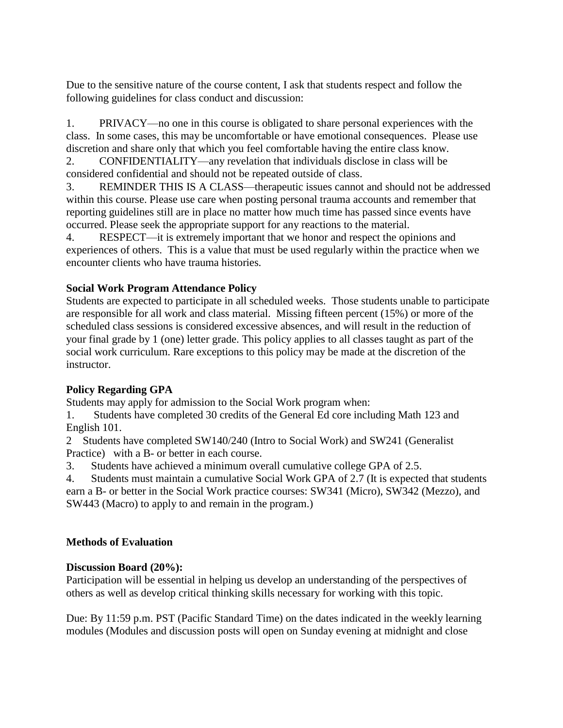Due to the sensitive nature of the course content, I ask that students respect and follow the following guidelines for class conduct and discussion:

1. PRIVACY—no one in this course is obligated to share personal experiences with the class. In some cases, this may be uncomfortable or have emotional consequences. Please use discretion and share only that which you feel comfortable having the entire class know.

2. CONFIDENTIALITY—any revelation that individuals disclose in class will be considered confidential and should not be repeated outside of class.

3. REMINDER THIS IS A CLASS—therapeutic issues cannot and should not be addressed within this course. Please use care when posting personal trauma accounts and remember that reporting guidelines still are in place no matter how much time has passed since events have occurred. Please seek the appropriate support for any reactions to the material.

4. RESPECT—it is extremely important that we honor and respect the opinions and experiences of others. This is a value that must be used regularly within the practice when we encounter clients who have trauma histories.

## **Social Work Program Attendance Policy**

Students are expected to participate in all scheduled weeks. Those students unable to participate are responsible for all work and class material. Missing fifteen percent (15%) or more of the scheduled class sessions is considered excessive absences, and will result in the reduction of your final grade by 1 (one) letter grade. This policy applies to all classes taught as part of the social work curriculum. Rare exceptions to this policy may be made at the discretion of the instructor.

# **Policy Regarding GPA**

Students may apply for admission to the Social Work program when:

1. Students have completed 30 credits of the General Ed core including Math 123 and English 101.

2 Students have completed SW140/240 (Intro to Social Work) and SW241 (Generalist Practice) with a B- or better in each course.

3. Students have achieved a minimum overall cumulative college GPA of 2.5.

4. Students must maintain a cumulative Social Work GPA of 2.7 (It is expected that students earn a B- or better in the Social Work practice courses: SW341 (Micro), SW342 (Mezzo), and

SW443 (Macro) to apply to and remain in the program.)

# **Methods of Evaluation**

## **Discussion Board (20%):**

Participation will be essential in helping us develop an understanding of the perspectives of others as well as develop critical thinking skills necessary for working with this topic.

Due: By 11:59 p.m. PST (Pacific Standard Time) on the dates indicated in the weekly learning modules (Modules and discussion posts will open on Sunday evening at midnight and close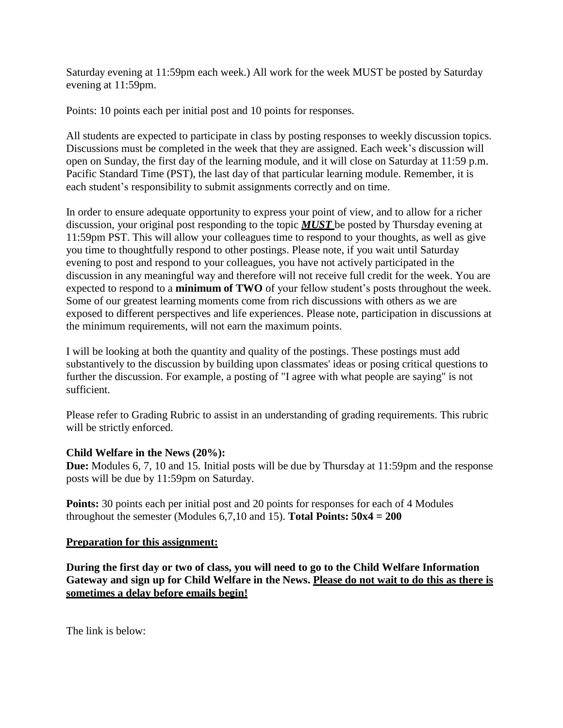Saturday evening at 11:59pm each week.) All work for the week MUST be posted by Saturday evening at 11:59pm.

Points: 10 points each per initial post and 10 points for responses.

All students are expected to participate in class by posting responses to weekly discussion topics. Discussions must be completed in the week that they are assigned. Each week's discussion will open on Sunday, the first day of the learning module, and it will close on Saturday at 11:59 p.m. Pacific Standard Time (PST), the last day of that particular learning module. Remember, it is each student's responsibility to submit assignments correctly and on time.

In order to ensure adequate opportunity to express your point of view, and to allow for a richer discussion, your original post responding to the topic *MUST* be posted by Thursday evening at 11:59pm PST. This will allow your colleagues time to respond to your thoughts, as well as give you time to thoughtfully respond to other postings. Please note, if you wait until Saturday evening to post and respond to your colleagues, you have not actively participated in the discussion in any meaningful way and therefore will not receive full credit for the week. You are expected to respond to a **minimum of TWO** of your fellow student's posts throughout the week. Some of our greatest learning moments come from rich discussions with others as we are exposed to different perspectives and life experiences. Please note, participation in discussions at the minimum requirements, will not earn the maximum points.

I will be looking at both the quantity and quality of the postings. These postings must add substantively to the discussion by building upon classmates' ideas or posing critical questions to further the discussion. For example, a posting of "I agree with what people are saying" is not sufficient.

Please refer to Grading Rubric to assist in an understanding of grading requirements. This rubric will be strictly enforced.

#### **Child Welfare in the News (20%):**

**Due:** Modules 6, 7, 10 and 15. Initial posts will be due by Thursday at 11:59pm and the response posts will be due by 11:59pm on Saturday.

**Points:** 30 points each per initial post and 20 points for responses for each of 4 Modules throughout the semester (Modules 6,7,10 and 15). **Total Points: 50x4 = 200**

#### **Preparation for this assignment:**

**During the first day or two of class, you will need to go to the Child Welfare Information Gateway and sign up for Child Welfare in the News. Please do not wait to do this as there is sometimes a delay before emails begin!**

The link is below: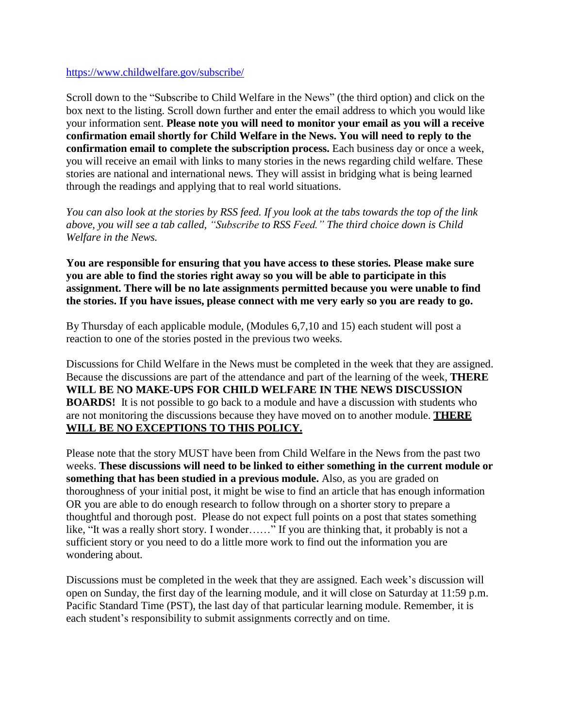#### <https://www.childwelfare.gov/subscribe/>

Scroll down to the "Subscribe to Child Welfare in the News" (the third option) and click on the box next to the listing. Scroll down further and enter the email address to which you would like your information sent. **Please note you will need to monitor your email as you will a receive confirmation email shortly for Child Welfare in the News. You will need to reply to the confirmation email to complete the subscription process.** Each business day or once a week, you will receive an email with links to many stories in the news regarding child welfare. These stories are national and international news. They will assist in bridging what is being learned through the readings and applying that to real world situations.

*You can also look at the stories by RSS feed. If you look at the tabs towards the top of the link above, you will see a tab called, "Subscribe to RSS Feed." The third choice down is Child Welfare in the News.*

**You are responsible for ensuring that you have access to these stories. Please make sure you are able to find the stories right away so you will be able to participate in this assignment. There will be no late assignments permitted because you were unable to find the stories. If you have issues, please connect with me very early so you are ready to go.**

By Thursday of each applicable module, (Modules 6,7,10 and 15) each student will post a reaction to one of the stories posted in the previous two weeks.

Discussions for Child Welfare in the News must be completed in the week that they are assigned. Because the discussions are part of the attendance and part of the learning of the week, **THERE WILL BE NO MAKE-UPS FOR CHILD WELFARE IN THE NEWS DISCUSSION BOARDS!** It is not possible to go back to a module and have a discussion with students who are not monitoring the discussions because they have moved on to another module. **THERE WILL BE NO EXCEPTIONS TO THIS POLICY.**

Please note that the story MUST have been from Child Welfare in the News from the past two weeks. **These discussions will need to be linked to either something in the current module or something that has been studied in a previous module.** Also, as you are graded on thoroughness of your initial post, it might be wise to find an article that has enough information OR you are able to do enough research to follow through on a shorter story to prepare a thoughtful and thorough post. Please do not expect full points on a post that states something like, "It was a really short story. I wonder……" If you are thinking that, it probably is not a sufficient story or you need to do a little more work to find out the information you are wondering about.

Discussions must be completed in the week that they are assigned. Each week's discussion will open on Sunday, the first day of the learning module, and it will close on Saturday at 11:59 p.m. Pacific Standard Time (PST), the last day of that particular learning module. Remember, it is each student's responsibility to submit assignments correctly and on time.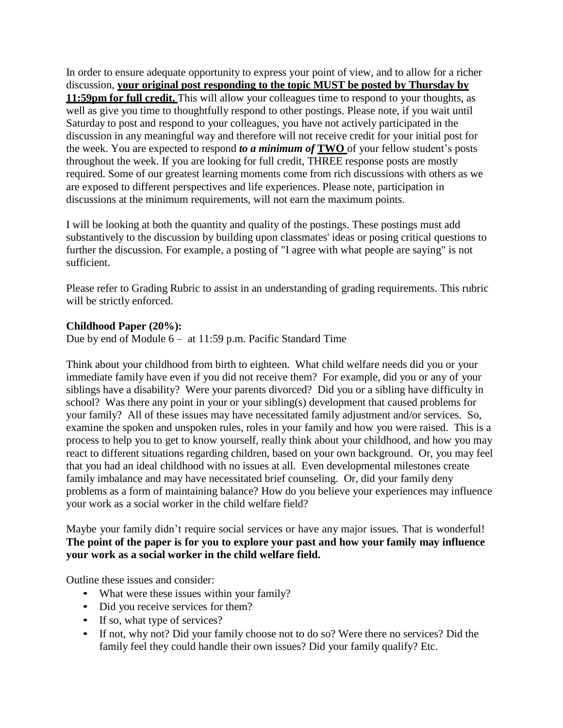In order to ensure adequate opportunity to express your point of view, and to allow for a richer discussion, **your original post responding to the topic MUST be posted by Thursday by 11:59pm for full credit.** This will allow your colleagues time to respond to your thoughts, as well as give you time to thoughtfully respond to other postings. Please note, if you wait until Saturday to post and respond to your colleagues, you have not actively participated in the discussion in any meaningful way and therefore will not receive credit for your initial post for the week. You are expected to respond *to a minimum of* **TWO** of your fellow student's posts throughout the week. If you are looking for full credit, THREE response posts are mostly required. Some of our greatest learning moments come from rich discussions with others as we are exposed to different perspectives and life experiences. Please note, participation in discussions at the minimum requirements, will not earn the maximum points.

I will be looking at both the quantity and quality of the postings. These postings must add substantively to the discussion by building upon classmates' ideas or posing critical questions to further the discussion*.* For example, a posting of "I agree with what people are saying" is not sufficient.

Please refer to Grading Rubric to assist in an understanding of grading requirements. This rubric will be strictly enforced.

## **Childhood Paper (20%):**

Due by end of Module 6 – at 11:59 p.m. Pacific Standard Time

Think about your childhood from birth to eighteen. What child welfare needs did you or your immediate family have even if you did not receive them? For example, did you or any of your siblings have a disability? Were your parents divorced? Did you or a sibling have difficulty in school? Was there any point in your or your sibling(s) development that caused problems for your family? All of these issues may have necessitated family adjustment and/or services. So, examine the spoken and unspoken rules, roles in your family and how you were raised. This is a process to help you to get to know yourself, really think about your childhood, and how you may react to different situations regarding children, based on your own background. Or, you may feel that you had an ideal childhood with no issues at all. Even developmental milestones create family imbalance and may have necessitated brief counseling. Or, did your family deny problems as a form of maintaining balance? How do you believe your experiences may influence your work as a social worker in the child welfare field?

Maybe your family didn't require social services or have any major issues. That is wonderful! **The point of the paper is for you to explore your past and how your family may influence your work as a social worker in the child welfare field.**

Outline these issues and consider:

- What were these issues within your family?
- Did you receive services for them?
- If so, what type of services?
- If not, why not? Did your family choose not to do so? Were there no services? Did the family feel they could handle their own issues? Did your family qualify? Etc.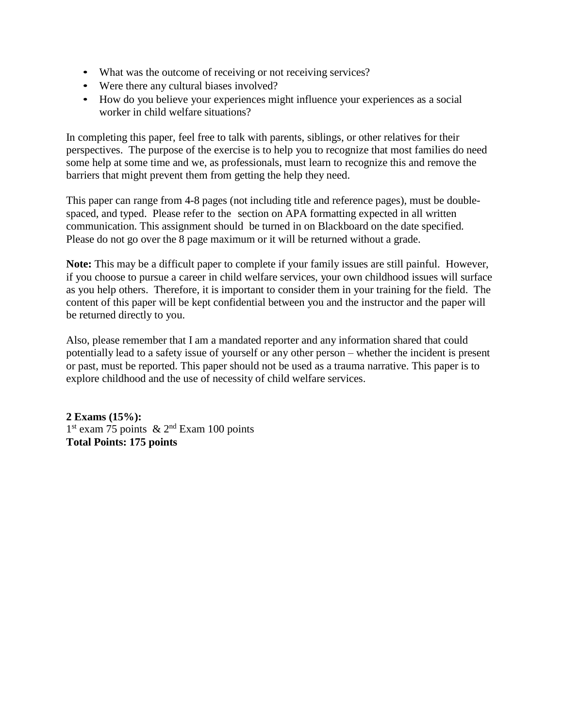- What was the outcome of receiving or not receiving services?
- Were there any cultural biases involved?
- How do you believe your experiences might influence your experiences as a social worker in child welfare situations?

In completing this paper, feel free to talk with parents, siblings, or other relatives for their perspectives. The purpose of the exercise is to help you to recognize that most families do need some help at some time and we, as professionals, must learn to recognize this and remove the barriers that might prevent them from getting the help they need.

This paper can range from 4-8 pages (not including title and reference pages), must be doublespaced, and typed. Please refer to the section on APA formatting expected in all written communication. This assignment should be turned in on Blackboard on the date specified. Please do not go over the 8 page maximum or it will be returned without a grade.

**Note:** This may be a difficult paper to complete if your family issues are still painful. However, if you choose to pursue a career in child welfare services, your own childhood issues will surface as you help others. Therefore, it is important to consider them in your training for the field. The content of this paper will be kept confidential between you and the instructor and the paper will be returned directly to you.

Also, please remember that I am a mandated reporter and any information shared that could potentially lead to a safety issue of yourself or any other person – whether the incident is present or past, must be reported. This paper should not be used as a trauma narrative. This paper is to explore childhood and the use of necessity of child welfare services.

**2 Exams (15%):** 1<sup>st</sup> exam 75 points & 2<sup>nd</sup> Exam 100 points **Total Points: 175 points**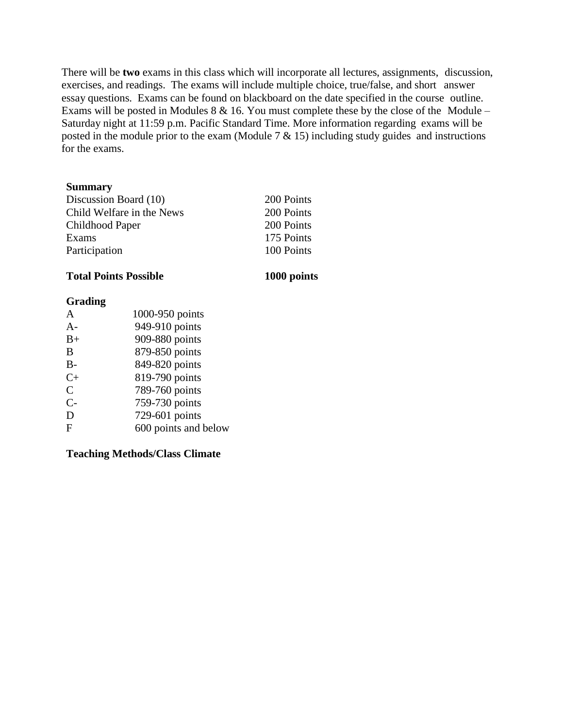There will be **two** exams in this class which will incorporate all lectures, assignments, discussion, exercises, and readings. The exams will include multiple choice, true/false, and short answer essay questions. Exams can be found on blackboard on the date specified in the course outline. Exams will be posted in Modules 8 & 16. You must complete these by the close of the Module – Saturday night at 11:59 p.m. Pacific Standard Time. More information regarding exams will be posted in the module prior to the exam (Module  $7 < 15$ ) including study guides and instructions for the exams.

#### **Summary**

| Discussion Board (10)     | 200 Points |
|---------------------------|------------|
| Child Welfare in the News | 200 Points |
| Childhood Paper           | 200 Points |
| Exams                     | 175 Points |
| Participation             | 100 Points |
|                           |            |

#### **Total Points Possible 1000 points**

#### **Grading**

| A            | 1000-950 points      |
|--------------|----------------------|
| $A-$         | 949-910 points       |
| $B+$         | 909-880 points       |
| B            | 879-850 points       |
| $B -$        | 849-820 points       |
| $C+$         | 819-790 points       |
| $\mathsf{C}$ | 789-760 points       |
| $C-$         | 759-730 points       |
| D            | 729-601 points       |
| F            | 600 points and below |

#### **Teaching Methods/Class Climate**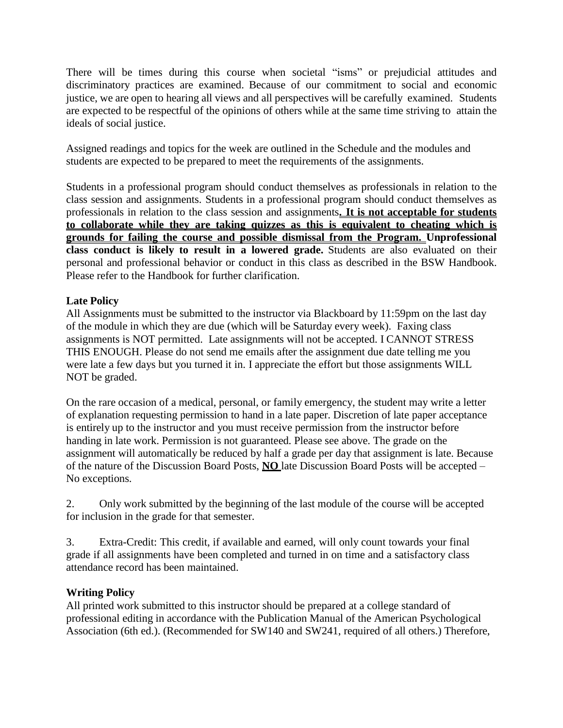There will be times during this course when societal "isms" or prejudicial attitudes and discriminatory practices are examined. Because of our commitment to social and economic justice, we are open to hearing all views and all perspectives will be carefully examined. Students are expected to be respectful of the opinions of others while at the same time striving to attain the ideals of social justice.

Assigned readings and topics for the week are outlined in the Schedule and the modules and students are expected to be prepared to meet the requirements of the assignments.

Students in a professional program should conduct themselves as professionals in relation to the class session and assignments. Students in a professional program should conduct themselves as professionals in relation to the class session and assignments**. It is not acceptable for students to collaborate while they are taking quizzes as this is equivalent to cheating which is grounds for failing the course and possible dismissal from the Program. Unprofessional class conduct is likely to result in a lowered grade.** Students are also evaluated on their personal and professional behavior or conduct in this class as described in the BSW Handbook. Please refer to the Handbook for further clarification.

## **Late Policy**

All Assignments must be submitted to the instructor via Blackboard by 11:59pm on the last day of the module in which they are due (which will be Saturday every week). Faxing class assignments is NOT permitted. Late assignments will not be accepted. I CANNOT STRESS THIS ENOUGH. Please do not send me emails after the assignment due date telling me you were late a few days but you turned it in. I appreciate the effort but those assignments WILL NOT be graded.

On the rare occasion of a medical, personal, or family emergency, the student may write a letter of explanation requesting permission to hand in a late paper. Discretion of late paper acceptance is entirely up to the instructor and you must receive permission from the instructor before handing in late work. Permission is not guaranteed. Please see above. The grade on the assignment will automatically be reduced by half a grade per day that assignment is late. Because of the nature of the Discussion Board Posts, **NO** late Discussion Board Posts will be accepted – No exceptions.

2. Only work submitted by the beginning of the last module of the course will be accepted for inclusion in the grade for that semester.

3. Extra-Credit: This credit, if available and earned, will only count towards your final grade if all assignments have been completed and turned in on time and a satisfactory class attendance record has been maintained.

## **Writing Policy**

All printed work submitted to this instructor should be prepared at a college standard of professional editing in accordance with the Publication Manual of the American Psychological Association (6th ed.). (Recommended for SW140 and SW241, required of all others.) Therefore,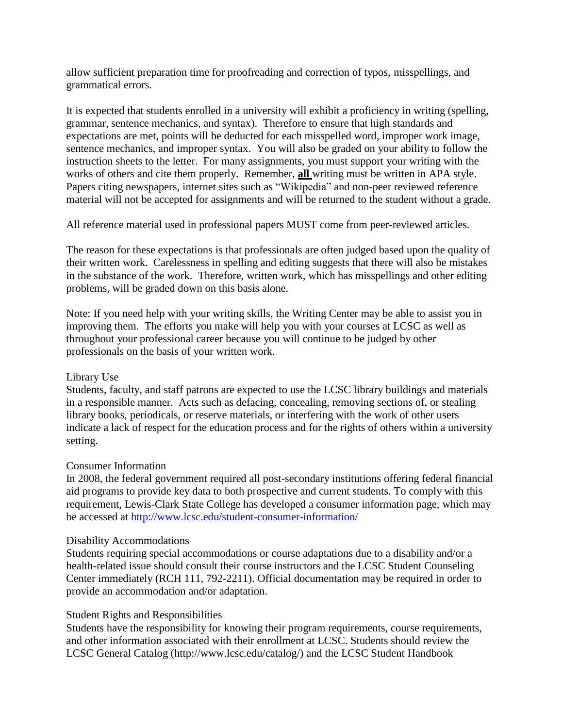allow sufficient preparation time for proofreading and correction of typos, misspellings, and grammatical errors.

It is expected that students enrolled in a university will exhibit a proficiency in writing (spelling, grammar, sentence mechanics, and syntax). Therefore to ensure that high standards and expectations are met, points will be deducted for each misspelled word, improper work image, sentence mechanics, and improper syntax. You will also be graded on your ability to follow the instruction sheets to the letter. For many assignments, you must support your writing with the works of others and cite them properly. Remember, **all** writing must be written in APA style. Papers citing newspapers, internet sites such as "Wikipedia" and non-peer reviewed reference material will not be accepted for assignments and will be returned to the student without a grade.

All reference material used in professional papers MUST come from peer-reviewed articles.

The reason for these expectations is that professionals are often judged based upon the quality of their written work. Carelessness in spelling and editing suggests that there will also be mistakes in the substance of the work. Therefore, written work, which has misspellings and other editing problems, will be graded down on this basis alone.

Note: If you need help with your writing skills, the Writing Center may be able to assist you in improving them. The efforts you make will help you with your courses at LCSC as well as throughout your professional career because you will continue to be judged by other professionals on the basis of your written work.

## Library Use

Students, faculty, and staff patrons are expected to use the LCSC library buildings and materials in a responsible manner. Acts such as defacing, concealing, removing sections of, or stealing library books, periodicals, or reserve materials, or interfering with the work of other users indicate a lack of respect for the education process and for the rights of others within a university setting.

#### Consumer Information

In 2008, the federal government required all post-secondary institutions offering federal financial aid programs to provide key data to both prospective and current students. To comply with this requirement, Lewis-Clark State College has developed a consumer information page, which may be accessed at <http://www.lcsc.edu/student-consumer-information/>

#### Disability Accommodations

Students requiring special accommodations or course adaptations due to a disability and/or a health-related issue should consult their course instructors and the LCSC Student Counseling Center immediately (RCH 111, 792-2211). Official documentation may be required in order to provide an accommodation and/or adaptation.

## Student Rights and Responsibilities

Students have the responsibility for knowing their program requirements, course requirements, and other information associated with their enrollment at LCSC. Students should review the LCSC General Catalog [\(http://www.lcsc.edu/catalog/\)](http://www.lcsc.edu/catalog/)) and the LCSC Student Handbook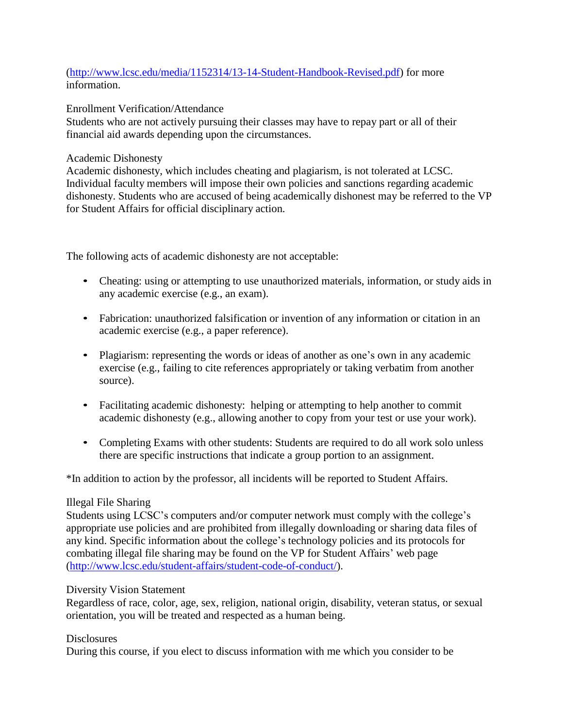## [\(http://www.lcsc.edu/media/1152314/13-14-Student-Handbook-Revised.pdf\)](http://www.lcsc.edu/media/1152314/13-14-Student-Handbook-Revised.pdf) for more information.

Enrollment Verification/Attendance

Students who are not actively pursuing their classes may have to repay part or all of their financial aid awards depending upon the circumstances.

## Academic Dishonesty

Academic dishonesty, which includes cheating and plagiarism, is not tolerated at LCSC. Individual faculty members will impose their own policies and sanctions regarding academic dishonesty. Students who are accused of being academically dishonest may be referred to the VP for Student Affairs for official disciplinary action.

The following acts of academic dishonesty are not acceptable:

- Cheating: using or attempting to use unauthorized materials, information, or study aids in any academic exercise (e.g., an exam).
- Fabrication: unauthorized falsification or invention of any information or citation in an academic exercise (e.g., a paper reference).
- Plagiarism: representing the words or ideas of another as one's own in any academic exercise (e.g., failing to cite references appropriately or taking verbatim from another source).
- Facilitating academic dishonesty: helping or attempting to help another to commit academic dishonesty (e.g., allowing another to copy from your test or use your work).
- Completing Exams with other students: Students are required to do all work solo unless there are specific instructions that indicate a group portion to an assignment.

\*In addition to action by the professor, all incidents will be reported to Student Affairs.

## Illegal File Sharing

Students using LCSC's computers and/or computer network must comply with the college's appropriate use policies and are prohibited from illegally downloading or sharing data files of any kind. Specific information about the college's technology policies and its protocols for combating illegal file sharing may be found on the VP for Student Affairs' web page [\(http://www.lcsc.edu/student-affairs/student-code-of-conduct/\)](http://www.lcsc.edu/student-affairs/student-code-of-conduct/).

## Diversity Vision Statement

Regardless of race, color, age, sex, religion, national origin, disability, veteran status, or sexual orientation, you will be treated and respected as a human being.

## **Disclosures**

During this course, if you elect to discuss information with me which you consider to be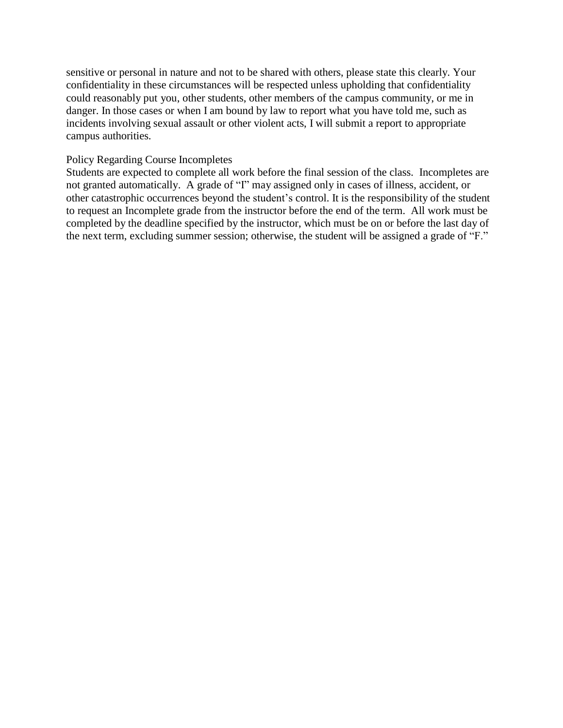sensitive or personal in nature and not to be shared with others, please state this clearly. Your confidentiality in these circumstances will be respected unless upholding that confidentiality could reasonably put you, other students, other members of the campus community, or me in danger. In those cases or when I am bound by law to report what you have told me, such as incidents involving sexual assault or other violent acts, I will submit a report to appropriate campus authorities.

#### Policy Regarding Course Incompletes

Students are expected to complete all work before the final session of the class. Incompletes are not granted automatically. A grade of "I" may assigned only in cases of illness, accident, or other catastrophic occurrences beyond the student's control. It is the responsibility of the student to request an Incomplete grade from the instructor before the end of the term. All work must be completed by the deadline specified by the instructor, which must be on or before the last day of the next term, excluding summer session; otherwise, the student will be assigned a grade of "F."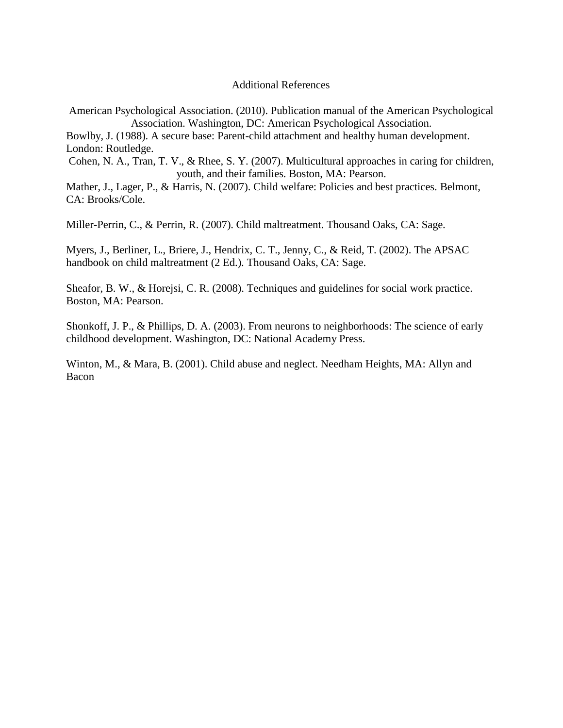#### Additional References

American Psychological Association. (2010). Publication manual of the American Psychological Association. Washington, DC: American Psychological Association.

Bowlby, J. (1988). A secure base: Parent-child attachment and healthy human development. London: Routledge.

Cohen, N. A., Tran, T. V., & Rhee, S. Y. (2007). Multicultural approaches in caring for children, youth, and their families. Boston, MA: Pearson.

Mather, J., Lager, P., & Harris, N. (2007). Child welfare: Policies and best practices. Belmont, CA: Brooks/Cole.

Miller-Perrin, C., & Perrin, R. (2007). Child maltreatment. Thousand Oaks, CA: Sage.

Myers, J., Berliner, L., Briere, J., Hendrix, C. T., Jenny, C., & Reid, T. (2002). The APSAC handbook on child maltreatment (2 Ed.). Thousand Oaks, CA: Sage.

Sheafor, B. W., & Horejsi, C. R. (2008). Techniques and guidelines for social work practice. Boston, MA: Pearson.

Shonkoff, J. P., & Phillips, D. A. (2003). From neurons to neighborhoods: The science of early childhood development. Washington, DC: National Academy Press.

Winton, M., & Mara, B. (2001). Child abuse and neglect. Needham Heights, MA: Allyn and Bacon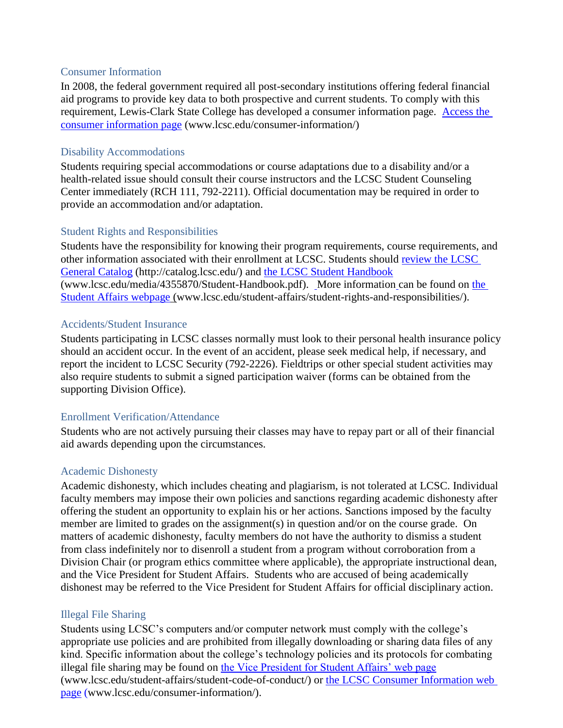#### Consumer Information

In 2008, the federal government required all post-secondary institutions offering federal financial aid programs to provide key data to both prospective and current students. To comply with this requirement, Lewis-Clark State College has developed a consumer information page. [Access the](http://www.lcsc.edu/consumer-information/)  [consumer information page](http://www.lcsc.edu/consumer-information/) (www.lcsc.edu/consumer-information/)

#### Disability Accommodations

Students requiring special accommodations or course adaptations due to a disability and/or a health-related issue should consult their course instructors and the LCSC Student Counseling Center immediately (RCH 111, 792-2211). Official documentation may be required in order to provide an accommodation and/or adaptation.

#### Student Rights and Responsibilities

Students have the responsibility for knowing their program requirements, course requirements, and other information associated with their enrollment at LCSC. Students should [review the LCSC](http://catalog.lcsc.edu/)  [General Catalog](http://catalog.lcsc.edu/) (http://catalog.lcsc.edu/) and [the LCSC Student Handbook](http://www.lcsc.edu/media/4355870/Student-Handbook.pdf) (www.lcsc.edu/media/4355870/Student-Handbook.pdf). More information can be found on [the](http://www.lcsc.edu/student-affairs/student-rights-and-responsibilities/)  [Student Affairs webpage](http://www.lcsc.edu/student-affairs/student-rights-and-responsibilities/) (www.lcsc.edu/student-affairs/student-rights-and-responsibilities/).

#### Accidents/Student Insurance

Students participating in LCSC classes normally must look to their personal health insurance policy should an accident occur. In the event of an accident, please seek medical help, if necessary, and report the incident to LCSC Security (792-2226). Fieldtrips or other special student activities may also require students to submit a signed participation waiver (forms can be obtained from the supporting Division Office).

#### Enrollment Verification/Attendance

Students who are not actively pursuing their classes may have to repay part or all of their financial aid awards depending upon the circumstances.

#### Academic Dishonesty

Academic dishonesty, which includes cheating and plagiarism, is not tolerated at LCSC. Individual faculty members may impose their own policies and sanctions regarding academic dishonesty after offering the student an opportunity to explain his or her actions. Sanctions imposed by the faculty member are limited to grades on the assignment(s) in question and/or on the course grade. On matters of academic dishonesty, faculty members do not have the authority to dismiss a student from class indefinitely nor to disenroll a student from a program without corroboration from a Division Chair (or program ethics committee where applicable), the appropriate instructional dean, and the Vice President for Student Affairs. Students who are accused of being academically dishonest may be referred to the Vice President for Student Affairs for official disciplinary action.

#### Illegal File Sharing

Students using LCSC's computers and/or computer network must comply with the college's appropriate use policies and are prohibited from illegally downloading or sharing data files of any kind. Specific information about the college's technology policies and its protocols for combating illegal file sharing may be found on [the Vice President for Student Affairs' web page](http://www.lcsc.edu/student-affairs/student-code-of-conduct/) (www.lcsc.edu/student-affairs/student-code-of-conduct/) or [the LCSC Consumer Information web](http://www.lcsc.edu/consumer-information/)  [page](http://www.lcsc.edu/consumer-information/) (www.lcsc.edu/consumer-information/).